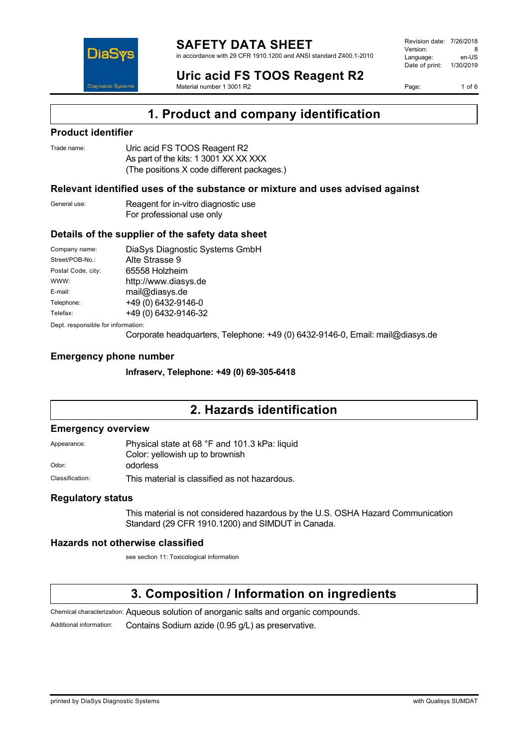

#### **SAFETY DATA SHEET** in accordance with 29 CFR 1910.1200 and ANSI standard Z400.1-2010

Revision date: 7/26/2018 Version: 8<br>Language: en-LIS Language: Date of print: 1/30/2019

Page: 1 of 6

**Uric acid FS TOOS Reagent R2** Material number 1 3001 R2

**1. Product and company identification**

### **Product identifier**

| Trade name: | Uric acid FS TOOS Reagent R2               |
|-------------|--------------------------------------------|
|             | As part of the kits: 1 3001 XX XX XXX      |
|             | (The positions X code different packages.) |

### **Relevant identified uses of the substance or mixture and uses advised against**

General use: Reagent for in-vitro diagnostic use For professional use only

### **Details of the supplier of the safety data sheet**

| Company name:                      | DiaSys Diagnostic Systems GmbH |  |  |
|------------------------------------|--------------------------------|--|--|
| Street/POB-No.:                    | Alte Strasse 9                 |  |  |
| Postal Code, city:                 | 65558 Holzheim                 |  |  |
| WWW:                               | http://www.diasys.de           |  |  |
| E-mail:                            | mail@diasys.de                 |  |  |
| Telephone:                         | +49 (0) 6432-9146-0            |  |  |
| Telefax:                           | +49 (0) 6432-9146-32           |  |  |
| Dept. responsible for information: |                                |  |  |

Corporate headquarters, Telephone: +49 (0) 6432-9146-0, Email: mail@diasys.de

### **Emergency phone number**

**Infraserv, Telephone: +49 (0) 69-305-6418**

## **2. Hazards identification**

### **Emergency overview**

Appearance: Physical state at 68 °F and 101.3 kPa: liquid Color: yellowish up to brownish Odor: odorless

Classification: This material is classified as not hazardous.

### **Regulatory status**

This material is not considered hazardous by the U.S. OSHA Hazard Communication Standard (29 CFR 1910.1200) and SIMDUT in Canada.

### **Hazards not otherwise classified**

see section 11: Toxicological information

## **3. Composition / Information on ingredients**

Chemical characterization: Aqueous solution of anorganic salts and organic compounds.

Additional information: Contains Sodium azide (0.95 g/L) as preservative.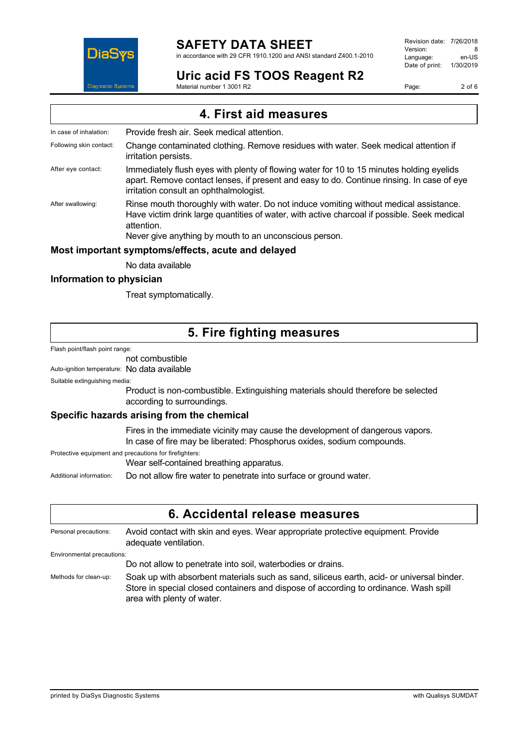

in accordance with 29 CFR 1910.1200 and ANSI standard Z400.1-2010

Revision date: 7/26/2018 Version: 8<br>Language: en-LIS Language: en-US<br>Date of print: 1/30/2019  $Date$  of print:

**Uric acid FS TOOS Reagent R2** Material number 1 3001 R2

Page: 2 of 6

**4. First aid measures**

In case of inhalation: Provide fresh air. Seek medical attention. Following skin contact: Change contaminated clothing. Remove residues with water. Seek medical attention if irritation persists. After eye contact: Immediately flush eyes with plenty of flowing water for 10 to 15 minutes holding eyelids apart. Remove contact lenses, if present and easy to do. Continue rinsing. In case of eye irritation consult an ophthalmologist. After swallowing: Rinse mouth thoroughly with water. Do not induce vomiting without medical assistance. Have victim drink large quantities of water, with active charcoal if possible. Seek medical attention. Never give anything by mouth to an unconscious person. **Most important symptoms/effects, acute and delayed** No data available

### **Information to physician**

Treat symptomatically.

### **5. Fire fighting measures**

Flash point/flash point range:

not combustible

Auto-ignition temperature: No data available

Suitable extinguishing media:

Product is non-combustible. Extinguishing materials should therefore be selected according to surroundings.

### **Specific hazards arising from the chemical**

Fires in the immediate vicinity may cause the development of dangerous vapors. In case of fire may be liberated: Phosphorus oxides, sodium compounds.

Protective equipment and precautions for firefighters:

Wear self-contained breathing apparatus.

Additional information: Do not allow fire water to penetrate into surface or ground water.

### **6. Accidental release measures**

Personal precautions: Avoid contact with skin and eyes. Wear appropriate protective equipment. Provide adequate ventilation. Environmental precautions:

Do not allow to penetrate into soil, waterbodies or drains.

Methods for clean-up: Soak up with absorbent materials such as sand, siliceus earth, acid- or universal binder. Store in special closed containers and dispose of according to ordinance. Wash spill area with plenty of water.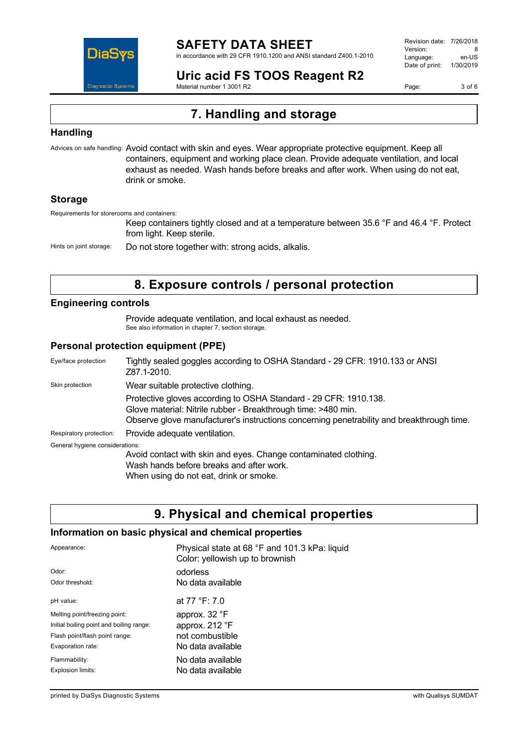

in accordance with 29 CFR 1910.1200 and ANSI standard Z400.1-2010

Revision date: 7/26/2018 Version: 8<br>Language: en-LIS Language: Date of print: 1/30/2019

**Uric acid FS TOOS Reagent R2** Material number 1 3001 R2

Page: 3 of 6

# **7. Handling and storage**

### **Handling**

Advices on safe handling: Avoid contact with skin and eyes. Wear appropriate protective equipment. Keep all containers, equipment and working place clean. Provide adequate ventilation, and local exhaust as needed. Wash hands before breaks and after work. When using do not eat, drink or smoke.

### **Storage**

Requirements for storerooms and containers:

Keep containers tightly closed and at a temperature between 35.6 °F and 46.4 °F. Protect from light. Keep sterile.

Hints on joint storage: Do not store together with: strong acids, alkalis.

## **8. Exposure controls / personal protection**

### **Engineering controls**

Provide adequate ventilation, and local exhaust as needed. See also information in chapter 7, section storage.

### **Personal protection equipment (PPE)**

| Eye/face protection             | Tightly sealed goggles according to OSHA Standard - 29 CFR: 1910.133 or ANSI<br>Z87.1-2010.                                                                                                                                    |  |
|---------------------------------|--------------------------------------------------------------------------------------------------------------------------------------------------------------------------------------------------------------------------------|--|
| Skin protection                 | Wear suitable protective clothing.                                                                                                                                                                                             |  |
|                                 | Protective gloves according to OSHA Standard - 29 CFR: 1910.138.<br>Glove material: Nitrile rubber - Breakthrough time: >480 min.<br>Observe glove manufacturer's instructions concerning penetrability and breakthrough time. |  |
| Respiratory protection:         | Provide adequate ventilation.                                                                                                                                                                                                  |  |
| General hygiene considerations: |                                                                                                                                                                                                                                |  |
|                                 | Avoid contact with skin and eyes. Change contaminated clothing.<br>Wash hands before breaks and after work.<br>When using do not eat, drink or smoke.                                                                          |  |

## **9. Physical and chemical properties**

### **Information on basic physical and chemical properties**

| Appearance:                              | Physical state at 68 °F and 101.3 kPa: liquid<br>Color: yellowish up to brownish |
|------------------------------------------|----------------------------------------------------------------------------------|
| Odor:                                    | odorless                                                                         |
| Odor threshold:                          | No data available                                                                |
| pH value:                                | at 77 °F: 7.0                                                                    |
| Melting point/freezing point:            | approx. 32 °F                                                                    |
| Initial boiling point and boiling range: | approx. 212 °F                                                                   |
| Flash point/flash point range:           | not combustible                                                                  |
| Evaporation rate:                        | No data available                                                                |
| Flammability:                            | No data available                                                                |
| Explosion limits:                        | No data available                                                                |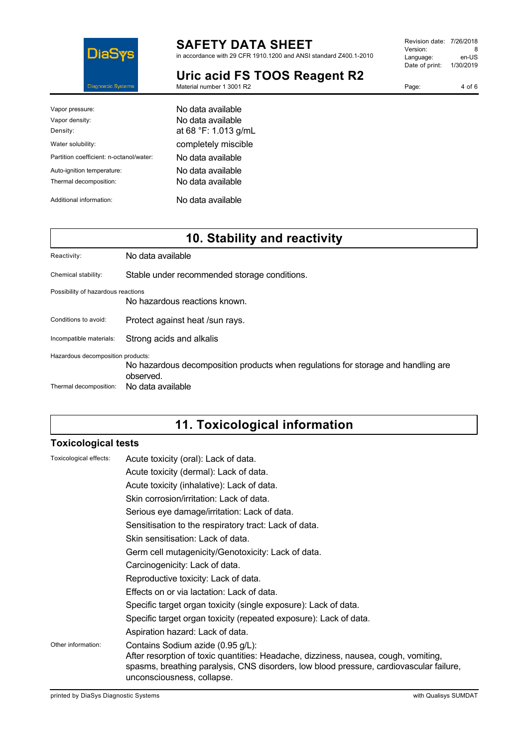

in accordance with 29 CFR 1910.1200 and ANSI standard Z400.1-2010

Version: 8<br>
Language: en-US Language: Date of print: 1/30/2019

| Uric acid FS TOOS Reagent R2 |  |
|------------------------------|--|
| Material number 1 3001 R2    |  |

| Page: | 4 of 6 |
|-------|--------|

Revision date: 7/26/2018

| Vapor pressure:                         | No data available    |
|-----------------------------------------|----------------------|
| Vapor density:                          | No data available    |
| Density:                                | at 68 °F: 1.013 g/mL |
| Water solubility:                       | completely miscible  |
| Partition coefficient: n-octanol/water: | No data available    |
| Auto-ignition temperature:              | No data available    |
| Thermal decomposition:                  | No data available    |
| Additional information:                 | No data available    |

# **10. Stability and reactivity**

| Reactivity:                        | No data available                                                                              |
|------------------------------------|------------------------------------------------------------------------------------------------|
| Chemical stability:                | Stable under recommended storage conditions.                                                   |
| Possibility of hazardous reactions | No hazardous reactions known.                                                                  |
| Conditions to avoid:               | Protect against heat /sun rays.                                                                |
| Incompatible materials:            | Strong acids and alkalis                                                                       |
| Hazardous decomposition products:  | No hazardous decomposition products when regulations for storage and handling are<br>observed. |
| Thermal decomposition:             | No data available                                                                              |

# **11. Toxicological information**

### **Toxicological tests**

| Toxicological effects: | Acute toxicity (oral): Lack of data.                                                                                                                                                                                                              |
|------------------------|---------------------------------------------------------------------------------------------------------------------------------------------------------------------------------------------------------------------------------------------------|
|                        | Acute toxicity (dermal): Lack of data.                                                                                                                                                                                                            |
|                        | Acute toxicity (inhalative): Lack of data.                                                                                                                                                                                                        |
|                        | Skin corrosion/irritation: Lack of data.                                                                                                                                                                                                          |
|                        | Serious eye damage/irritation: Lack of data.                                                                                                                                                                                                      |
|                        | Sensitisation to the respiratory tract: Lack of data.                                                                                                                                                                                             |
|                        | Skin sensitisation: Lack of data.                                                                                                                                                                                                                 |
|                        | Germ cell mutagenicity/Genotoxicity: Lack of data.                                                                                                                                                                                                |
|                        | Carcinogenicity: Lack of data.                                                                                                                                                                                                                    |
|                        | Reproductive toxicity: Lack of data.                                                                                                                                                                                                              |
|                        | Effects on or via lactation: Lack of data.                                                                                                                                                                                                        |
|                        | Specific target organ toxicity (single exposure): Lack of data.                                                                                                                                                                                   |
|                        | Specific target organ toxicity (repeated exposure): Lack of data.                                                                                                                                                                                 |
|                        | Aspiration hazard: Lack of data.                                                                                                                                                                                                                  |
| Other information:     | Contains Sodium azide (0.95 g/L):<br>After resorption of toxic quantities: Headache, dizziness, nausea, cough, vomiting,<br>spasms, breathing paralysis, CNS disorders, low blood pressure, cardiovascular failure,<br>unconsciousness, collapse. |
|                        |                                                                                                                                                                                                                                                   |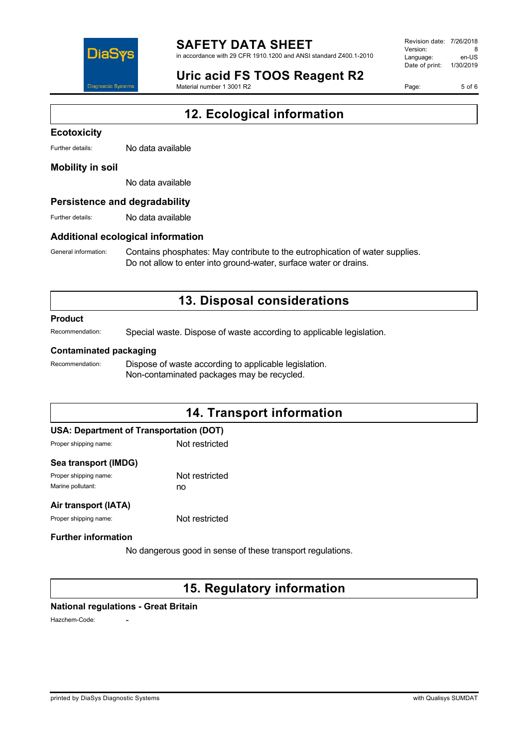

in accordance with 29 CFR 1910.1200 and ANSI standard Z400.1-2010

# **Uric acid FS TOOS Reagent R2**

Material number 1 3001 R2

Revision date: 7/26/2018 Version: 8<br>Language: en-LIS Language: Date of print: 1/30/2019

Page: 5 of 6

# **12. Ecological information**

#### **Ecotoxicity**

Further details: No data available

#### **Mobility in soil**

No data available

### **Persistence and degradability**

Further details: No data available

### **Additional ecological information**

General information: Contains phosphates: May contribute to the eutrophication of water supplies. Do not allow to enter into ground-water, surface water or drains.

## **13. Disposal considerations**

#### **Product**

Recommendation: Special waste. Dispose of waste according to applicable legislation.

#### **Contaminated packaging**

Recommendation: Dispose of waste according to applicable legislation. Non-contaminated packages may be recycled.

## **14. Transport information**

### **USA: Department of Transportation (DOT)**

Proper shipping name: Not restricted

#### **Sea transport (IMDG)**

Proper shipping name: Not restricted Marine pollutant: no

#### **Air transport (IATA)**

Proper shipping name: Not restricted

### **Further information**

No dangerous good in sense of these transport regulations.

### **15. Regulatory information**

### **National regulations - Great Britain**

Hazchem-Code: